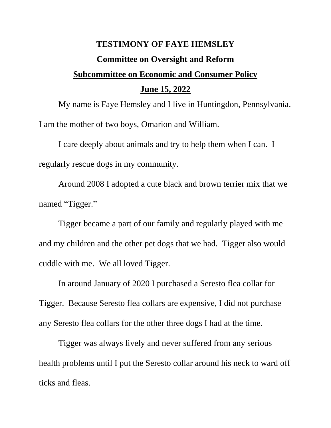## **TESTIMONY OF FAYE HEMSLEY Committee on Oversight and Reform Subcommittee on Economic and Consumer Policy June 15, 2022**

My name is Faye Hemsley and I live in Huntingdon, Pennsylvania. I am the mother of two boys, Omarion and William.

I care deeply about animals and try to help them when I can. I regularly rescue dogs in my community.

Around 2008 I adopted a cute black and brown terrier mix that we named "Tigger."

Tigger became a part of our family and regularly played with me and my children and the other pet dogs that we had. Tigger also would cuddle with me. We all loved Tigger.

In around January of 2020 I purchased a Seresto flea collar for Tigger. Because Seresto flea collars are expensive, I did not purchase any Seresto flea collars for the other three dogs I had at the time.

Tigger was always lively and never suffered from any serious health problems until I put the Seresto collar around his neck to ward off ticks and fleas.